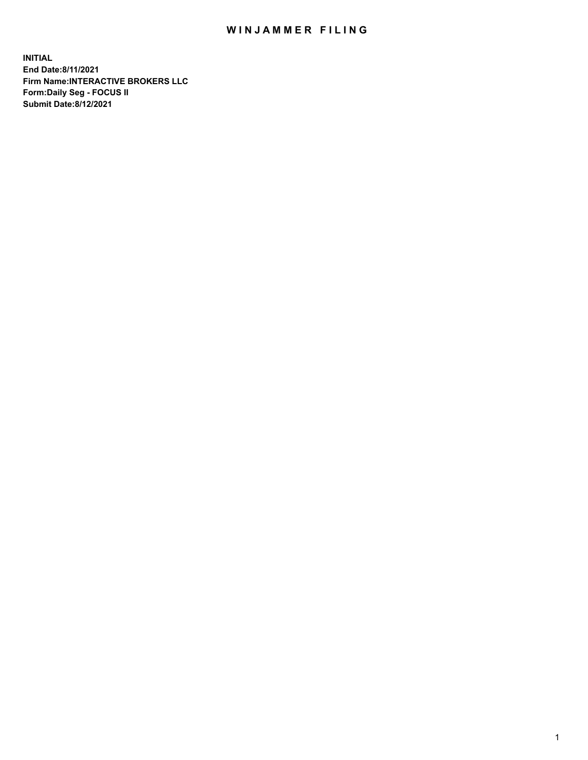## WIN JAMMER FILING

**INITIAL End Date:8/11/2021 Firm Name:INTERACTIVE BROKERS LLC Form:Daily Seg - FOCUS II Submit Date:8/12/2021**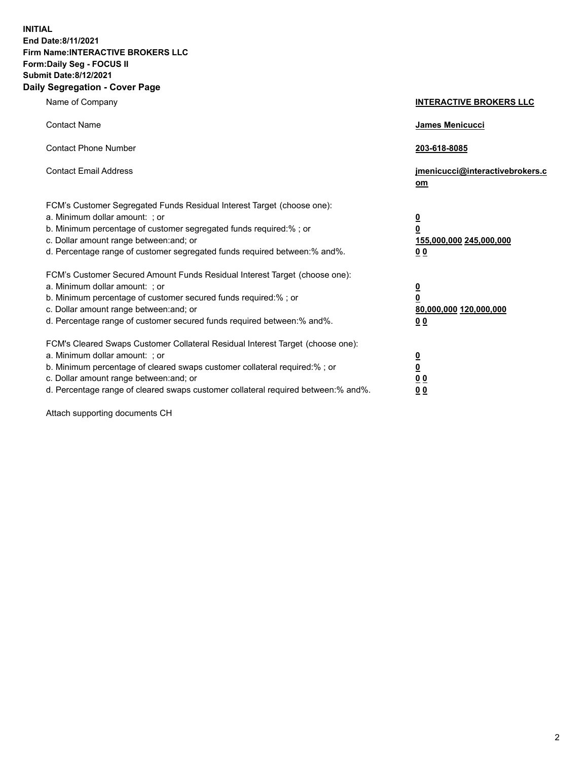**INITIAL End Date:8/11/2021 Firm Name:INTERACTIVE BROKERS LLC Form:Daily Seg - FOCUS II Submit Date:8/12/2021 Daily Segregation - Cover Page**

| Name of Company                                                                                                                                                                                                                                                                                                                | <b>INTERACTIVE BROKERS LLC</b>                                                                  |
|--------------------------------------------------------------------------------------------------------------------------------------------------------------------------------------------------------------------------------------------------------------------------------------------------------------------------------|-------------------------------------------------------------------------------------------------|
| <b>Contact Name</b>                                                                                                                                                                                                                                                                                                            | James Menicucci                                                                                 |
| <b>Contact Phone Number</b>                                                                                                                                                                                                                                                                                                    | 203-618-8085                                                                                    |
| <b>Contact Email Address</b>                                                                                                                                                                                                                                                                                                   | jmenicucci@interactivebrokers.c<br>$om$                                                         |
| FCM's Customer Segregated Funds Residual Interest Target (choose one):<br>a. Minimum dollar amount: ; or<br>b. Minimum percentage of customer segregated funds required:% ; or<br>c. Dollar amount range between: and; or<br>d. Percentage range of customer segregated funds required between:% and%.                         | $\overline{\mathbf{0}}$<br>$\overline{\mathbf{0}}$<br>155,000,000 245,000,000<br>0 <sub>0</sub> |
| FCM's Customer Secured Amount Funds Residual Interest Target (choose one):<br>a. Minimum dollar amount: ; or<br>b. Minimum percentage of customer secured funds required:%; or<br>c. Dollar amount range between: and; or<br>d. Percentage range of customer secured funds required between:% and%.                            | $\overline{\mathbf{0}}$<br>$\overline{\mathbf{0}}$<br>80,000,000 120,000,000<br>0 <sub>0</sub>  |
| FCM's Cleared Swaps Customer Collateral Residual Interest Target (choose one):<br>a. Minimum dollar amount: ; or<br>b. Minimum percentage of cleared swaps customer collateral required:% ; or<br>c. Dollar amount range between: and; or<br>d. Percentage range of cleared swaps customer collateral required between:% and%. | $\overline{\mathbf{0}}$<br><u>0</u><br>0 <sub>0</sub><br>0 <sub>0</sub>                         |

Attach supporting documents CH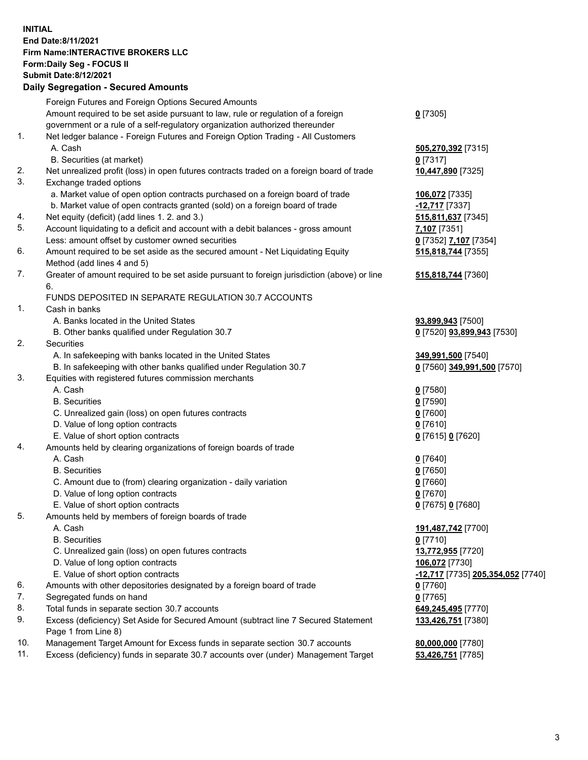## **INITIAL End Date:8/11/2021 Firm Name:INTERACTIVE BROKERS LLC Form:Daily Seg - FOCUS II Submit Date:8/12/2021 Daily Segregation - Secured Amounts**

|     | Dany Segregation - Secured Amounts                                                          |                                   |
|-----|---------------------------------------------------------------------------------------------|-----------------------------------|
|     | Foreign Futures and Foreign Options Secured Amounts                                         |                                   |
|     | Amount required to be set aside pursuant to law, rule or regulation of a foreign            | $0$ [7305]                        |
|     | government or a rule of a self-regulatory organization authorized thereunder                |                                   |
| 1.  | Net ledger balance - Foreign Futures and Foreign Option Trading - All Customers             |                                   |
|     | A. Cash                                                                                     | 505,270,392 [7315]                |
|     | B. Securities (at market)                                                                   | $0$ [7317]                        |
| 2.  | Net unrealized profit (loss) in open futures contracts traded on a foreign board of trade   | 10,447,890 [7325]                 |
| 3.  | Exchange traded options                                                                     |                                   |
|     | a. Market value of open option contracts purchased on a foreign board of trade              | 106,072 [7335]                    |
|     | b. Market value of open contracts granted (sold) on a foreign board of trade                | -12,717 [7337]                    |
| 4.  | Net equity (deficit) (add lines 1. 2. and 3.)                                               | 515,811,637 [7345]                |
| 5.  | Account liquidating to a deficit and account with a debit balances - gross amount           | 7,107 [7351]                      |
|     | Less: amount offset by customer owned securities                                            | 0 [7352] 7,107 [7354]             |
| 6.  | Amount required to be set aside as the secured amount - Net Liquidating Equity              | 515,818,744 [7355]                |
|     | Method (add lines 4 and 5)                                                                  |                                   |
| 7.  | Greater of amount required to be set aside pursuant to foreign jurisdiction (above) or line | 515,818,744 [7360]                |
|     | 6.                                                                                          |                                   |
|     | FUNDS DEPOSITED IN SEPARATE REGULATION 30.7 ACCOUNTS                                        |                                   |
| 1.  | Cash in banks                                                                               |                                   |
|     | A. Banks located in the United States                                                       | 93,899,943 [7500]                 |
|     | B. Other banks qualified under Regulation 30.7                                              | 0 [7520] 93,899,943 [7530]        |
| 2.  | Securities                                                                                  |                                   |
|     | A. In safekeeping with banks located in the United States                                   | 349,991,500 [7540]                |
|     | B. In safekeeping with other banks qualified under Regulation 30.7                          | 0 [7560] 349,991,500 [7570]       |
| 3.  | Equities with registered futures commission merchants                                       |                                   |
|     | A. Cash                                                                                     | $0$ [7580]                        |
|     | <b>B.</b> Securities                                                                        | $0$ [7590]                        |
|     | C. Unrealized gain (loss) on open futures contracts                                         | $0$ [7600]                        |
|     | D. Value of long option contracts                                                           | $0$ [7610]                        |
|     | E. Value of short option contracts                                                          | 0 [7615] 0 [7620]                 |
| 4.  | Amounts held by clearing organizations of foreign boards of trade                           |                                   |
|     | A. Cash                                                                                     | $0$ [7640]                        |
|     | <b>B.</b> Securities                                                                        | $0$ [7650]                        |
|     | C. Amount due to (from) clearing organization - daily variation                             | $0$ [7660]                        |
|     | D. Value of long option contracts                                                           | $0$ [7670]                        |
|     | E. Value of short option contracts                                                          | 0 [7675] 0 [7680]                 |
| 5.  | Amounts held by members of foreign boards of trade                                          |                                   |
|     | A. Cash                                                                                     | 191,487,742 [7700]                |
|     | <b>B.</b> Securities                                                                        | $0$ [7710]                        |
|     | C. Unrealized gain (loss) on open futures contracts                                         | 13,772,955 [7720]                 |
|     | D. Value of long option contracts                                                           | 106,072 [7730]                    |
|     | E. Value of short option contracts                                                          | -12,717 [7735] 205,354,052 [7740] |
| 6.  | Amounts with other depositories designated by a foreign board of trade                      | $0$ [7760]                        |
| 7.  | Segregated funds on hand                                                                    | $0$ [7765]                        |
| 8.  | Total funds in separate section 30.7 accounts                                               | 649,245,495 [7770]                |
| 9.  | Excess (deficiency) Set Aside for Secured Amount (subtract line 7 Secured Statement         | 133,426,751 [7380]                |
|     | Page 1 from Line 8)                                                                         |                                   |
| 10. | Management Target Amount for Excess funds in separate section 30.7 accounts                 | 80,000,000 [7780]                 |
| 11. | Excess (deficiency) funds in separate 30.7 accounts over (under) Management Target          | 53,426,751 [7785]                 |
|     |                                                                                             |                                   |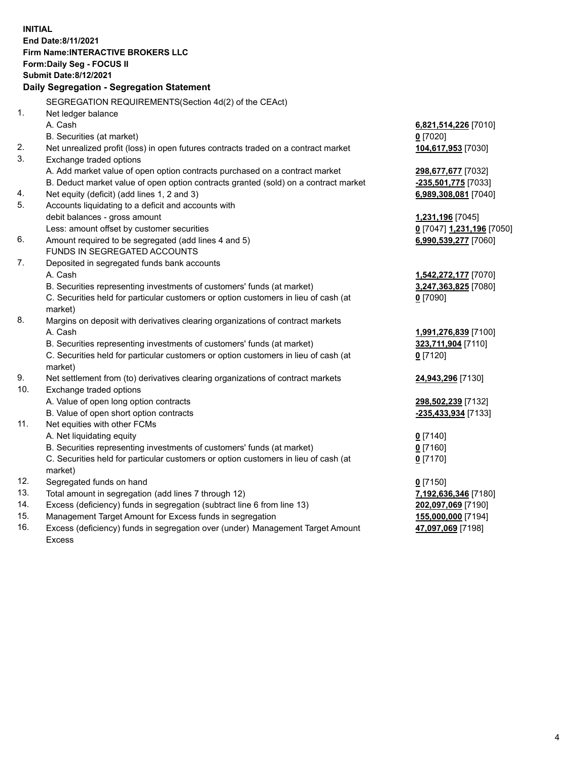**INITIAL End Date:8/11/2021 Firm Name:INTERACTIVE BROKERS LLC Form:Daily Seg - FOCUS II Submit Date:8/12/2021 Daily Segregation - Segregation Statement** SEGREGATION REQUIREMENTS(Section 4d(2) of the CEAct) 1. Net ledger balance A. Cash **6,821,514,226** [7010] B. Securities (at market) **0** [7020] 2. Net unrealized profit (loss) in open futures contracts traded on a contract market **104,617,953** [7030] 3. Exchange traded options A. Add market value of open option contracts purchased on a contract market **298,677,677** [7032] B. Deduct market value of open option contracts granted (sold) on a contract market **-235,501,775** [7033] 4. Net equity (deficit) (add lines 1, 2 and 3) **6,989,308,081** [7040] 5. Accounts liquidating to a deficit and accounts with debit balances - gross amount **1,231,196** [7045] Less: amount offset by customer securities **0** [7047] **1,231,196** [7050] 6. Amount required to be segregated (add lines 4 and 5) **6,990,539,277** [7060] FUNDS IN SEGREGATED ACCOUNTS 7. Deposited in segregated funds bank accounts A. Cash **1,542,272,177** [7070] B. Securities representing investments of customers' funds (at market) **3,247,363,825** [7080] C. Securities held for particular customers or option customers in lieu of cash (at market) **0** [7090] 8. Margins on deposit with derivatives clearing organizations of contract markets A. Cash **1,991,276,839** [7100] B. Securities representing investments of customers' funds (at market) **323,711,904** [7110] C. Securities held for particular customers or option customers in lieu of cash (at market) **0** [7120] 9. Net settlement from (to) derivatives clearing organizations of contract markets **24,943,296** [7130] 10. Exchange traded options A. Value of open long option contracts **298,502,239** [7132] B. Value of open short option contracts **-235,433,934** [7133] 11. Net equities with other FCMs A. Net liquidating equity **0** [7140] B. Securities representing investments of customers' funds (at market) **0** [7160] C. Securities held for particular customers or option customers in lieu of cash (at market) **0** [7170] 12. Segregated funds on hand **0** [7150] 13. Total amount in segregation (add lines 7 through 12) **7,192,636,346** [7180] 14. Excess (deficiency) funds in segregation (subtract line 6 from line 13) **202,097,069** [7190] 15. Management Target Amount for Excess funds in segregation **155,000,000** [7194] **47,097,069** [7198]

16. Excess (deficiency) funds in segregation over (under) Management Target Amount Excess